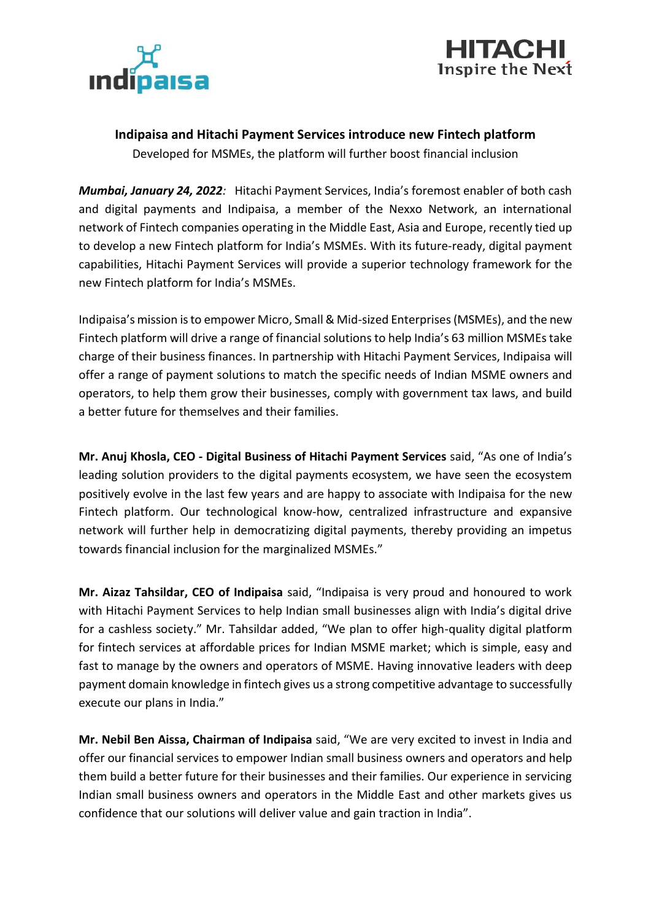



## **Indipaisa and Hitachi Payment Services introduce new Fintech platform**

Developed for MSMEs, the platform will further boost financial inclusion

*Mumbai, January 24, 2022:* Hitachi Payment Services, India's foremost enabler of both cash and digital payments and Indipaisa, a member of the Nexxo Network, an international network of Fintech companies operating in the Middle East, Asia and Europe, recently tied up to develop a new Fintech platform for India's MSMEs. With its future-ready, digital payment capabilities, Hitachi Payment Services will provide a superior technology framework for the new Fintech platform for India's MSMEs.

Indipaisa's mission is to empower Micro, Small & Mid-sized Enterprises(MSMEs), and the new Fintech platform will drive a range of financial solutions to help India's 63 million MSMEstake charge of their business finances. In partnership with Hitachi Payment Services, Indipaisa will offer a range of payment solutions to match the specific needs of Indian MSME owners and operators, to help them grow their businesses, comply with government tax laws, and build a better future for themselves and their families.

**Mr. Anuj Khosla, CEO - Digital Business of Hitachi Payment Services** said, "As one of India's leading solution providers to the digital payments ecosystem, we have seen the ecosystem positively evolve in the last few years and are happy to associate with Indipaisa for the new Fintech platform. Our technological know-how, centralized infrastructure and expansive network will further help in democratizing digital payments, thereby providing an impetus towards financial inclusion for the marginalized MSMEs."

**Mr. Aizaz Tahsildar, CEO of Indipaisa** said, "Indipaisa is very proud and honoured to work with Hitachi Payment Services to help Indian small businesses align with India's digital drive for a cashless society." Mr. Tahsildar added, "We plan to offer high-quality digital platform for fintech services at affordable prices for Indian MSME market; which is simple, easy and fast to manage by the owners and operators of MSME. Having innovative leaders with deep payment domain knowledge in fintech gives us a strong competitive advantage to successfully execute our plans in India."

**Mr. Nebil Ben Aissa, Chairman of Indipaisa** said, "We are very excited to invest in India and offer our financial services to empower Indian small business owners and operators and help them build a better future for their businesses and their families. Our experience in servicing Indian small business owners and operators in the Middle East and other markets gives us confidence that our solutions will deliver value and gain traction in India".